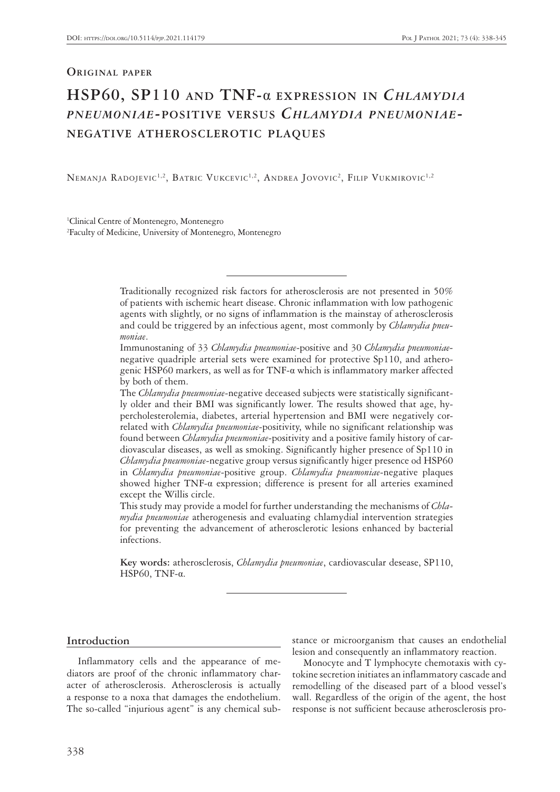# **Original paper**

# **HSP60, SP110 and TNF-**α **expression in** *Chlamydia pneumoniae***-positive versus** *Chlamydia pneumoniae***negative atherosclerotic plaques**

NEMANJA RADOJEVIC<sup>1,2</sup>, BATRIC VUKCEVIC<sup>1,2</sup>, ANDREA JOVOVIC<sup>2</sup>, FILIP VUKMIROVIC<sup>1,2</sup>

1 Clinical Centre of Montenegro, Montenegro 2 Faculty of Medicine, University of Montenegro, Montenegro

> Traditionally recognized risk factors for atherosclerosis are not presented in 50% of patients with ischemic heart disease. Chronic inflammation with low pathogenic agents with slightly, or no signs of inflammation is the mainstay of atherosclerosis and could be triggered by an infectious agent, most commonly by *Chlamydia pneumoniae*.

> Immunostaning of 33 *Chlamydia pneumoniae*-positive and 30 *Chlamydia pneumoniae*negative quadriple arterial sets were examined for protective Sp110, and atherogenic HSP60 markers, as well as for TNF-α which is inflammatory marker affected by both of them.

> The *Chlamydia pneumoniae*-negative deceased subjects were statistically significantly older and their BMI was significantly lower. The results showed that age, hypercholesterolemia, diabetes, arterial hypertension and BMI were negatively correlated with *Chlamydia pneumoniae*-positivity, while no significant relationship was found between *Chlamydia pneumoniae*-positivity and a positive family history of cardiovascular diseases, as well as smoking. Significantly higher presence of Sp110 in *Chlamydia pneumoniae*-negative group versus significantly higer presence od HSP60 in *Chlamydia pneumoniae*-positive group. *Chlamydia pneumoniae*-negative plaques showed higher TNF-α expression; difference is present for all arteries examined except the Willis circle.

> This study may provide a model for further understanding the mechanisms of *Chlamydia pneumoniae* atherogenesis and evaluating chlamydial intervention strategies for preventing the advancement of atherosclerotic lesions enhanced by bacterial infections.

> **Key words:** atherosclerosis, *Chlamydia pneumoniae*, cardiovascular desease, SP110, HSP60, TNF-α.

# **Introduction**

Inflammatory cells and the appearance of mediators are proof of the chronic inflammatory character of atherosclerosis. Atherosclerosis is actually a response to a noxa that damages the endothelium. The so-called "injurious agent" is any chemical substance or microorganism that causes an endothelial lesion and consequently an inflammatory reaction.

Monocyte and T lymphocyte chemotaxis with cytokine secretion initiates an inflammatory cascade and remodelling of the diseased part of a blood vessel's wall. Regardless of the origin of the agent, the host response is not sufficient because atherosclerosis pro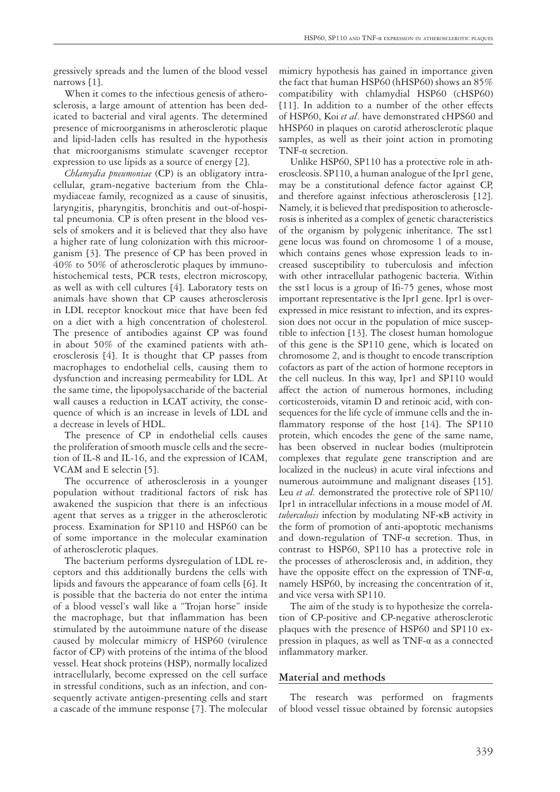gressively spreads and the lumen of the blood vessel narrows [1].

When it comes to the infectious genesis of atherosclerosis, a large amount of attention has been dedicated to bacterial and viral agents. The determined presence of microorganisms in atherosclerotic plaque and lipid-laden cells has resulted in the hypothesis that microorganisms stimulate scavenger receptor expression to use lipids as a source of energy [2].

*Chlamydia pneumoniae* (CP) is an obligatory intracellular, gram-negative bacterium from the Chlamydiaceae family, recognized as a cause of sinusitis, laryngitis, pharyngitis, bronchitis and out-of-hospital pneumonia. CP is often present in the blood vessels of smokers and it is believed that they also have a higher rate of lung colonization with this microorganism [3]. The presence of CP has been proved in 40% to 50% of atherosclerotic plaques by immunohistochemical tests, PCR tests, electron microscopy, as well as with cell cultures [4]. Laboratory tests on animals have shown that CP causes atherosclerosis in LDL receptor knockout mice that have been fed on a diet with a high concentration of cholesterol. The presence of antibodies against CP was found in about 50% of the examined patients with atherosclerosis [4]. It is thought that CP passes from macrophages to endothelial cells, causing them to dysfunction and increasing permeability for LDL. At the same time, the lipopolysaccharide of the bacterial wall causes a reduction in LCAT activity, the consequence of which is an increase in levels of LDL and a decrease in levels of HDL.

The presence of CP in endothelial cells causes the proliferation of smooth muscle cells and the secretion of IL-8 and IL-16, and the expression of ICAM, VCAM and E selectin [5].

The occurrence of atherosclerosis in a younger population without traditional factors of risk has awakened the suspicion that there is an infectious agent that serves as a trigger in the atherosclerotic process. Examination for SP110 and HSP60 can be of some importance in the molecular examination of atherosclerotic plaques.

The bacterium performs dysregulation of LDL receptors and this additionally burdens the cells with lipids and favours the appearance of foam cells [6]. It is possible that the bacteria do not enter the intima of a blood vessel's wall like a "Trojan horse" inside the macrophage, but that inflammation has been stimulated by the autoimmune nature of the disease caused by molecular mimicry of HSP60 (virulence factor of CP) with proteins of the intima of the blood vessel. Heat shock proteins (HSP), normally localized intracellularly, become expressed on the cell surface in stressful conditions, such as an infection, and consequently activate antigen-presenting cells and start a cascade of the immune response [7]. The molecular

mimicry hypothesis has gained in importance given the fact that human HSP60 (hHSP60) shows an 85% compatibility with chlamydial HSP60 (cHSP60) [11]. In addition to a number of the other effects of HSP60, Koi *et al*. have demonstrated cHPS60 and hHSP60 in plaques on carotid atherosclerotic plaque samples, as well as their joint action in promoting TNF-α secretion.

Unlike HSP60, SP110 has a protective role in atheroscleosis. SP110, a human analogue of the Ipr1 gene, may be a constitutional defence factor against CP, and therefore against infectious atherosclerosis [12]. Namely, it is believed that predisposition to atherosclerosis is inherited as a complex of genetic characteristics of the organism by polygenic inheritance. The sst1 gene locus was found on chromosome 1 of a mouse, which contains genes whose expression leads to increased susceptibility to tuberculosis and infection with other intracellular pathogenic bacteria. Within the sst1 locus is a group of Ifi-75 genes, whose most important representative is the Ipr1 gene. Ipr1 is overexpressed in mice resistant to infection, and its expression does not occur in the population of mice susceptible to infection [13]. The closest human homologue of this gene is the SP110 gene, which is located on chromosome 2, and is thought to encode transcription cofactors as part of the action of hormone receptors in the cell nucleus. In this way, Ipr1 and SP110 would affect the action of numerous hormones, including corticosteroids, vitamin D and retinoic acid, with consequences for the life cycle of immune cells and the inflammatory response of the host [14]. The SP110 protein, which encodes the gene of the same name, has been observed in nuclear bodies (multiprotein complexes that regulate gene transcription and are localized in the nucleus) in acute viral infections and numerous autoimmune and malignant diseases [15]. Leu *et al.* demonstrated the protective role of SP110/ Ipr1 in intracellular infections in a mouse model of *M. tuberculosis* infection by modulating NF-κB activity in the form of promotion of anti-apoptotic mechanisms and down-regulation of TNF-α secretion. Thus, in contrast to HSP60, SP110 has a protective role in the processes of atherosclerosis and, in addition, they have the opposite effect on the expression of TNF- $\alpha$ , namely HSP60, by increasing the concentration of it, and vice versa with SP110.

The aim of the study is to hypothesize the correlation of CP-positive and CP-negative atherosclerotic plaques with the presence of HSP60 and SP110 expression in plaques, as well as TNF-α as a connected inflammatory marker.

## **Material and methods**

The research was performed on fragments of blood vessel tissue obtained by forensic autopsies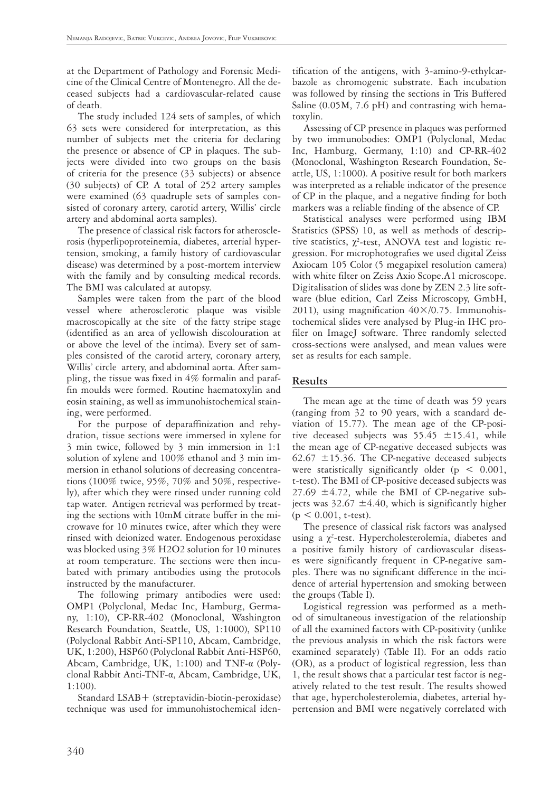at the Department of Pathology and Forensic Medicine of the Clinical Centre of Montenegro. All the deceased subjects had a cardiovascular-related cause of death.

The study included 124 sets of samples, of which 63 sets were considered for interpretation, as this number of subjects met the criteria for declaring the presence or absence of CP in plaques. The subjects were divided into two groups on the basis of criteria for the presence (33 subjects) or absence (30 subjects) of CP. A total of 252 artery samples were examined (63 quadruple sets of samples consisted of coronary artery, carotid artery, Willis' circle artery and abdominal aorta samples).

The presence of classical risk factors for atherosclerosis (hyperlipoproteinemia, diabetes, arterial hypertension, smoking, a family history of cardiovascular disease) was determined by a post-mortem interview with the family and by consulting medical records. The BMI was calculated at autopsy.

Samples were taken from the part of the blood vessel where atherosclerotic plaque was visible macroscopically at the site of the fatty stripe stage (identified as an area of yellowish discolouration at or above the level of the intima). Every set of samples consisted of the carotid artery, coronary artery, Willis' circle artery, and abdominal aorta. After sampling, the tissue was fixed in 4% formalin and paraffin moulds were formed. Routine haematoxylin and eosin staining, as well as immunohistochemical staining, were performed.

For the purpose of deparaffinization and rehydration, tissue sections were immersed in xylene for 3 min twice, followed by 3 min immersion in 1:1 solution of xylene and 100% ethanol and 3 min immersion in ethanol solutions of decreasing concentrations (100% twice, 95%, 70% and 50%, respectively), after which they were rinsed under running cold tap water. Antigen retrieval was performed by treating the sections with 10mM citrate buffer in the microwave for 10 minutes twice, after which they were rinsed with deionized water. Endogenous peroxidase was blocked using 3% H2O2 solution for 10 minutes at room temperature. The sections were then incubated with primary antibodies using the protocols instructed by the manufacturer.

The following primary antibodies were used: OMP1 (Polyclonal, Medac Inc, Hamburg, Germany, 1:10), CP-RR-402 (Monoclonal, Washington Research Foundation, Seattle, US, 1:1000), SP110 (Polyclonal Rabbit Anti-SP110, Abcam, Cambridge, UK, 1:200), HSP60 (Polyclonal Rabbit Anti-HSP60, Abcam, Cambridge, UK, 1:100) and TNF-α (Polyclonal Rabbit Anti-TNF-α, Abcam, Cambridge, UK, 1:100).

Standard LSAB+ (streptavidin-biotin-peroxidase) technique was used for immunohistochemical iden-

tification of the antigens, with 3-amino-9-ethylcarbazole as chromogenic substrate. Each incubation was followed by rinsing the sections in Tris Buffered Saline (0.05M, 7.6 pH) and contrasting with hematoxylin.

Assessing of CP presence in plaques was performed by two immunobodies: OMP1 (Polyclonal, Medac Inc, Hamburg, Germany, 1:10) and CP-RR-402 (Monoclonal, Washington Research Foundation, Seattle, US, 1:1000). A positive result for both markers was interpreted as a reliable indicator of the presence of CP in the plaque, and a negative finding for both markers was a reliable finding of the absence of CP.

Statistical analyses were performed using IBM Statistics (SPSS) 10, as well as methods of descriptive statistics,  $\chi^2$ -test, ANOVA test and logistic regression. For microphotografies we used digital Zeiss Axiocam 105 Color (5 megapixel resolution camera) with white filter on Zeiss Axio Scope.A1 microscope. Digitalisation of slides was done by ZEN 2.3 lite software (blue edition, Carl Zeiss Microscopy, GmbH, 2011), using magnification  $40 \times /0.75$ . Immunohistochemical slides vere analysed by Plug-in IHC profiler on ImageJ software. Three randomly selected cross-sections were analysed, and mean values were set as results for each sample.

# **Results**

The mean age at the time of death was 59 years (ranging from 32 to 90 years, with a standard deviation of 15.77). The mean age of the CP-positive deceased subjects was  $55.45 \pm 15.41$ , while the mean age of CP-negative deceased subjects was 62.67  $\pm$ 15.36. The CP-negative deceased subjects were statistically significantly older ( $p < 0.001$ , t-test). The BMI of CP-positive deceased subjects was 27.69  $\pm$ 4.72, while the BMI of CP-negative subjects was  $32.67 \pm 4.40$ , which is significantly higher  $(p < 0.001, t-test)$ .

The presence of classical risk factors was analysed using a  $\chi^2$ -test. Hypercholesterolemia, diabetes and a positive family history of cardiovascular diseases were significantly frequent in CP-negative samples. There was no significant difference in the incidence of arterial hypertension and smoking between the groups (Table I).

Logistical regression was performed as a method of simultaneous investigation of the relationship of all the examined factors with CP-positivity (unlike the previous analysis in which the risk factors were examined separately) (Table II). For an odds ratio (OR), as a product of logistical regression, less than 1, the result shows that a particular test factor is negatively related to the test result. The results showed that age, hypercholesterolemia, diabetes, arterial hypertension and BMI were negatively correlated with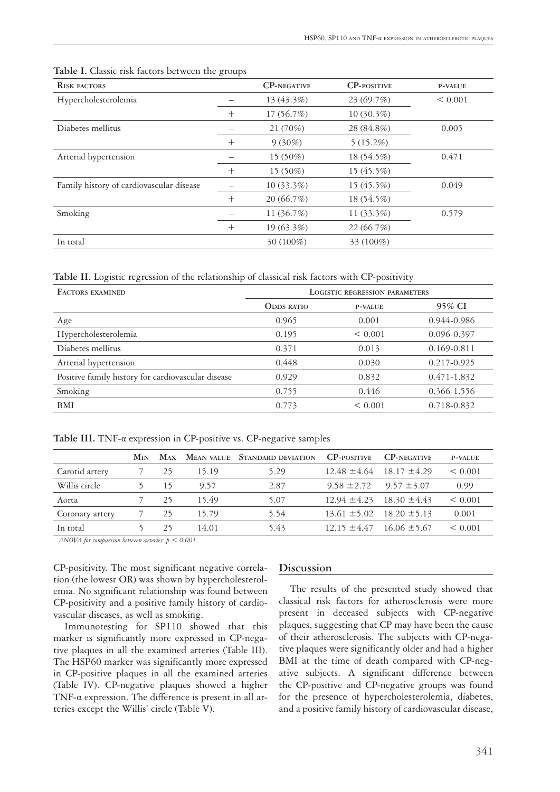| <b>RISK FACTORS</b>                      |        | <b>CP-NEGATIVE</b> | <b>CP-POSITIVE</b> | <b>P-VALUE</b> |
|------------------------------------------|--------|--------------------|--------------------|----------------|
| Hypercholesterolemia                     |        | 13 (43.3%)         | 23(69.7%)          | < 0.001        |
|                                          | $^{+}$ | 17 (56.7%)         | $10(30.3\%)$       |                |
| Diabetes mellitus                        |        | 21 (70%)           | 28 (84.8%)         | 0.005          |
|                                          | $^{+}$ | $9(30\%)$          | 5(15.2%)           |                |
| Arterial hypertension                    |        | 15 (50%)           | 18 (54.5%)         | 0.471          |
|                                          | $^{+}$ | 15 (50%)           | 15 (45.5%)         |                |
| Family history of cardiovascular disease |        | 10 (33.3%)         | 15 (45.5%)         | 0.049          |
|                                          | $^{+}$ | 20(66.7%)          | 18 (54.5%)         |                |
| Smoking                                  |        | 11 (36.7%)         | 11 (33.3%)         | 0.579          |
|                                          | $^{+}$ | 19 (63.3%)         | 22 (66.7%)         |                |
| In total                                 |        | $30(100\%)$        | 33 (100%)          |                |

**Table I.** Classic risk factors between the groups

**Table II.** Logistic regression of the relationship of classical risk factors with CP-positivity

| <b>FACTORS EXAMINED</b>                            | <b>LOGISTIC REGRESSION PARAMETERS</b> |                |             |  |
|----------------------------------------------------|---------------------------------------|----------------|-------------|--|
|                                                    | <b>ODDS RATIO</b>                     | <b>P-VALUE</b> | 95% CI      |  |
| Age                                                | 0.965                                 | 0.001          | 0.944-0.986 |  |
| Hypercholesterolemia                               | 0.195                                 | < 0.001        | 0.096-0.397 |  |
| Diabetes mellitus                                  | 0.371                                 | 0.013          | 0.169-0.811 |  |
| Arterial hypertension                              | 0.448                                 | 0.030          | 0.217-0.925 |  |
| Positive family history for cardiovascular disease | 0.929                                 | 0.832          | 0.471-1.832 |  |
| Smoking                                            | 0.755                                 | 0.446          | 0.366-1.556 |  |
| BMI                                                | 0.773                                 | < 0.001        | 0.718-0.832 |  |

**Table III.** TNF-α expression in CP-positive vs. CP-negative samples

|                 | Min |    |       | MAX MEAN VALUE STANDARD DEVIATION | <b>CP-POSITIVE</b>                | <b>CP-NEGATIVE</b> | <b>P-VALUE</b> |
|-----------------|-----|----|-------|-----------------------------------|-----------------------------------|--------------------|----------------|
| Carotid artery  |     | 25 | 15.19 | 5.29                              | $12.48 \pm 4.64$                  | $18.17 \pm 4.29$   | < 0.001        |
| Willis circle   |     | 15 | 9.57  | 2.87                              | $9.58 \pm 2.72$                   | $9.57 \pm 3.07$    | 0.99           |
| Aorta           |     | 25 | 15.49 | 5.07                              | $12.94 \pm 4.23$ $18.30 \pm 4.43$ |                    | < 0.001        |
| Coronary artery |     | 25 | 15.79 | 5.54                              | $13.61 \pm 5.02$                  | $18.20 \pm 5.13$   | 0.001          |
| In total        |     | 25 | 14.01 | 5.43                              | $12.15 \pm 4.47$                  | $16.06 \pm 5.67$   | < 0.001        |

*ANOVA for comparison between arteries: p < 0.001*

CP-positivity. The most significant negative correlation (the lowest OR) was shown by hypercholesterolemia. No significant relationship was found between CP-positivity and a positive family history of cardiovascular diseases, as well as smoking.

Immunotesting for SP110 showed that this marker is significantly more expressed in CP-negative plaques in all the examined arteries (Table III). The HSP60 marker was significantly more expressed in CP-positive plaques in all the examined arteries (Table IV). CP-negative plaques showed a higher TNF-α expression. The difference is present in all arteries except the Willis' circle (Table V).

# **Discussion**

The results of the presented study showed that classical risk factors for atherosclerosis were more present in deceased subjects with CP-negative plaques, suggesting that CP may have been the cause of their atherosclerosis. The subjects with CP-negative plaques were significantly older and had a higher BMI at the time of death compared with CP-negative subjects. A significant difference between the CP-positive and CP-negative groups was found for the presence of hypercholesterolemia, diabetes, and a positive family history of cardiovascular disease,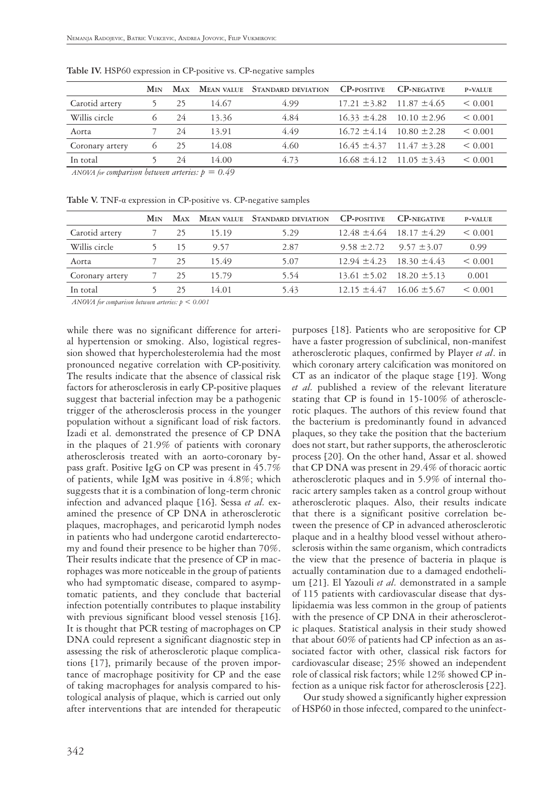|                 | <b>M<sub>IN</sub></b> | <b>MAX</b> |       | <b>MEAN VALUE</b> STANDARD DEVIATION | <b>CP-POSITIVE</b> | <b>CP-NEGATIVE</b>                | <b>P-VALUE</b> |
|-----------------|-----------------------|------------|-------|--------------------------------------|--------------------|-----------------------------------|----------------|
| Carotid artery  |                       | 25         | 14.67 | 4.99                                 |                    | $17.21 \pm 3.82$ $11.87 \pm 4.65$ | < 0.001        |
| Willis circle   |                       | 24         | 13.36 | 4.84                                 |                    | $16.33 \pm 4.28$ $10.10 \pm 2.96$ | < 0.001        |
| Aorta           |                       | 24         | 13.91 | 4.49                                 |                    | $16.72 \pm 4.14$ $10.80 \pm 2.28$ | < 0.001        |
| Coronary artery | $\sigma$              | 25         | 14.08 | 4.60                                 |                    | $16.45 \pm 4.37$ $11.47 \pm 3.28$ | < 0.001        |
| In total        |                       | 24         | 14.00 | 4.73                                 |                    | $16.68 \pm 4.12$ $11.05 \pm 3.43$ | < 0.001        |
|                 |                       |            |       |                                      |                    |                                   |                |

**Table IV.** HSP60 expression in CP-positive vs. CP-negative samples

 $\overline{ANOVA}$  for comparison between arteries:  $p = 0.49$ 

**Table V.** TNF-α expression in CP-positive vs. CP-negative samples

|                 | <b>M<sub>IN</sub></b> |     |       | MAX MEAN VALUE STANDARD DEVIATION | <b>CP-POSITIVE</b>                | <b>CP-NEGATIVE</b>                | <b>P-VALUE</b> |
|-----------------|-----------------------|-----|-------|-----------------------------------|-----------------------------------|-----------------------------------|----------------|
| Carotid artery  |                       | 25  | 15.19 | 5.29                              | $12.48 \pm 4.64$                  | $18.17 \pm 4.29$                  | < 0.001        |
| Willis circle   |                       | 15  | 9.57  | 2.87                              | $9.58 \pm 2.72$                   | $9.57 \pm 3.07$                   | 0.99           |
| Aorta           |                       | 25  | 15.49 | 5.07                              |                                   | $12.94 \pm 4.23$ $18.30 \pm 4.43$ | < 0.001        |
| Coronary artery |                       | -25 | 15.79 | 5.54                              | $13.61 \pm 5.02$ $18.20 \pm 5.13$ |                                   | 0.001          |
| In total        |                       | 25  | 14.01 | 5.43                              |                                   | $12.15 \pm 4.47$ $16.06 \pm 5.67$ | < 0.001        |

*ANOVA for comparison between arteries: p < 0.001*

while there was no significant difference for arterial hypertension or smoking. Also, logistical regression showed that hypercholesterolemia had the most pronounced negative correlation with CP-positivity. The results indicate that the absence of classical risk factors for atherosclerosis in early CP-positive plaques suggest that bacterial infection may be a pathogenic trigger of the atherosclerosis process in the younger population without a significant load of risk factors. Izadi et al. demonstrated the presence of CP DNA in the plaques of 21.9% of patients with coronary atherosclerosis treated with an aorto-coronary bypass graft. Positive IgG on CP was present in 45.7% of patients, while IgM was positive in 4.8%; which suggests that it is a combination of long-term chronic infection and advanced plaque [16]. Sessa *et al.* examined the presence of CP DNA in atherosclerotic plaques, macrophages, and pericarotid lymph nodes in patients who had undergone carotid endarterectomy and found their presence to be higher than 70%. Their results indicate that the presence of CP in macrophages was more noticeable in the group of patients who had symptomatic disease, compared to asymptomatic patients, and they conclude that bacterial infection potentially contributes to plaque instability with previous significant blood vessel stenosis [16]. It is thought that PCR testing of macrophages on CP DNA could represent a significant diagnostic step in assessing the risk of atherosclerotic plaque complications [17], primarily because of the proven importance of macrophage positivity for CP and the ease of taking macrophages for analysis compared to histological analysis of plaque, which is carried out only after interventions that are intended for therapeutic

purposes [18]. Patients who are seropositive for CP have a faster progression of subclinical, non-manifest atherosclerotic plaques, confirmed by Player *et al*. in which coronary artery calcification was monitored on CT as an indicator of the plaque stage [19]. Wong *et al.* published a review of the relevant literature stating that CP is found in 15-100% of atherosclerotic plaques. The authors of this review found that the bacterium is predominantly found in advanced plaques, so they take the position that the bacterium does not start, but rather supports, the atherosclerotic process [20]. On the other hand, Assar et al. showed that CP DNA was present in 29.4% of thoracic aortic atherosclerotic plaques and in 5.9% of internal thoracic artery samples taken as a control group without atherosclerotic plaques. Also, their results indicate that there is a significant positive correlation between the presence of CP in advanced atherosclerotic plaque and in a healthy blood vessel without atherosclerosis within the same organism, which contradicts the view that the presence of bacteria in plaque is actually contamination due to a damaged endothelium [21]. El Yazouli *et al.* demonstrated in a sample of 115 patients with cardiovascular disease that dyslipidaemia was less common in the group of patients with the presence of CP DNA in their atherosclerotic plaques. Statistical analysis in their study showed that about 60% of patients had CP infection as an associated factor with other, classical risk factors for cardiovascular disease; 25% showed an independent role of classical risk factors; while 12% showed CP infection as a unique risk factor for atherosclerosis [22].

Our study showed a significantly higher expression of HSP60 in those infected, compared to the uninfect-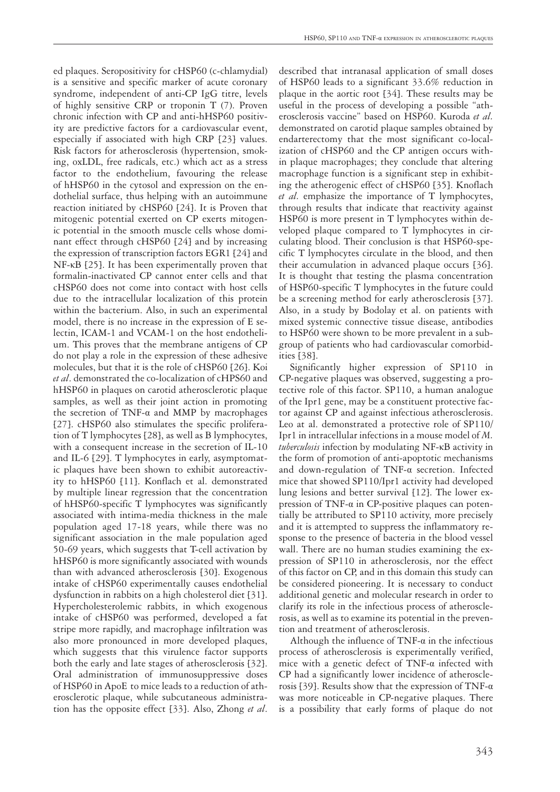ed plaques. Seropositivity for cHSP60 (c-chlamydial) is a sensitive and specific marker of acute coronary syndrome, independent of anti-CP IgG titre, levels of highly sensitive CRP or troponin T (7). Proven chronic infection with CP and anti-hHSP60 positivity are predictive factors for a cardiovascular event, especially if associated with high CRP [23] values. Risk factors for atherosclerosis (hypertension, smoking, oxLDL, free radicals, etc.) which act as a stress factor to the endothelium, favouring the release of hHSP60 in the cytosol and expression on the endothelial surface, thus helping with an autoimmune reaction initiated by cHSP60 [24]. It is Proven that mitogenic potential exerted on CP exerts mitogenic potential in the smooth muscle cells whose dominant effect through cHSP60 [24] and by increasing the expression of transcription factors EGR1 [24] and NF-κB [25]. It has been experimentally proven that formalin-inactivated CP cannot enter cells and that cHSP60 does not come into contact with host cells due to the intracellular localization of this protein within the bacterium. Also, in such an experimental model, there is no increase in the expression of E selectin, ICAM-1 and VCAM-1 on the host endothelium. This proves that the membrane antigens of CP do not play a role in the expression of these adhesive molecules, but that it is the role of cHSP60 [26]. Koi *et al*. demonstrated the co-localization of cHPS60 and hHSP60 in plaques on carotid atherosclerotic plaque samples, as well as their joint action in promoting the secretion of TNF-α and MMP by macrophages [27]. cHSP60 also stimulates the specific proliferation of T lymphocytes [28], as well as B lymphocytes, with a consequent increase in the secretion of IL-10 and IL-6 [29]. T lymphocytes in early, asymptomatic plaques have been shown to exhibit autoreactivity to hHSP60 [11]. Konflach et al. demonstrated by multiple linear regression that the concentration of hHSP60-specific T lymphocytes was significantly associated with intima-media thickness in the male population aged 17-18 years, while there was no significant association in the male population aged 50-69 years, which suggests that T-cell activation by hHSP60 is more significantly associated with wounds than with advanced atherosclerosis [30]. Exogenous intake of cHSP60 experimentally causes endothelial dysfunction in rabbits on a high cholesterol diet [31]. Hypercholesterolemic rabbits, in which exogenous intake of cHSP60 was performed, developed a fat stripe more rapidly, and macrophage infiltration was also more pronounced in more developed plaques, which suggests that this virulence factor supports both the early and late stages of atherosclerosis [32]. Oral administration of immunosuppressive doses of HSP60 in ApoE to mice leads to a reduction of atherosclerotic plaque, while subcutaneous administration has the opposite effect [33]. Also, Zhong *et al*. described that intranasal application of small doses of HSP60 leads to a significant 33.6% reduction in plaque in the aortic root [34]. These results may be useful in the process of developing a possible "atherosclerosis vaccine" based on HSP60. Kuroda *et al.* demonstrated on carotid plaque samples obtained by endarterectomy that the most significant co-localization of cHSP60 and the CP antigen occurs within plaque macrophages; they conclude that altering macrophage function is a significant step in exhibiting the atherogenic effect of cHSP60 [35]. Knoflach *et al.* emphasize the importance of T lymphocytes, through results that indicate that reactivity against HSP60 is more present in T lymphocytes within developed plaque compared to T lymphocytes in circulating blood. Their conclusion is that HSP60-specific T lymphocytes circulate in the blood, and then their accumulation in advanced plaque occurs [36]. It is thought that testing the plasma concentration of HSP60-specific T lymphocytes in the future could be a screening method for early atherosclerosis [37]. Also, in a study by Bodolay et al. on patients with mixed systemic connective tissue disease, antibodies to HSP60 were shown to be more prevalent in a subgroup of patients who had cardiovascular comorbidities [38].

Significantly higher expression of SP110 in CP-negative plaques was observed, suggesting a protective role of this factor. SP110, a human analogue of the Ipr1 gene, may be a constituent protective factor against CP and against infectious atherosclerosis. Leo at al. demonstrated a protective role of SP110/ Ipr1 in intracellular infections in a mouse model of *M. tuberculosis* infection by modulating NF-κB activity in the form of promotion of anti-apoptotic mechanisms and down-regulation of TNF-α secretion. Infected mice that showed SP110/Ipr1 activity had developed lung lesions and better survival [12]. The lower expression of TNF-α in CP-positive plaques can potentially be attributed to SP110 activity, more precisely and it is attempted to suppress the inflammatory response to the presence of bacteria in the blood vessel wall. There are no human studies examining the expression of SP110 in atherosclerosis, nor the effect of this factor on CP, and in this domain this study can be considered pioneering. It is necessary to conduct additional genetic and molecular research in order to clarify its role in the infectious process of atherosclerosis, as well as to examine its potential in the prevention and treatment of atherosclerosis.

Although the influence of  $TNF-\alpha$  in the infectious process of atherosclerosis is experimentally verified, mice with a genetic defect of TNF-α infected with CP had a significantly lower incidence of atherosclerosis [39]. Results show that the expression of TNF- $\alpha$ was more noticeable in CP-negative plaques. There is a possibility that early forms of plaque do not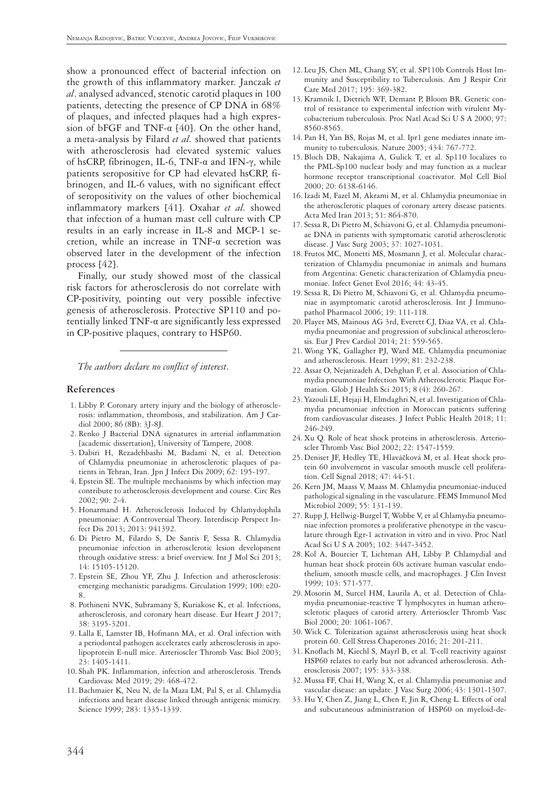show a pronounced effect of bacterial infection on the growth of this inflammatory marker. Janczak *et al*. analysed advanced, stenotic carotid plaques in 100 patients, detecting the presence of CP DNA in 68% of plaques, and infected plaques had a high expression of bFGF and TNF- $\alpha$  [40]. On the other hand, a meta-analysis by Filard *et al.* showed that patients with atherosclerosis had elevated systemic values of hsCRP, fibrinogen, IL-6, TNF-α and IFN-γ, while patients seropositive for CP had elevated hsCRP, fibrinogen, and IL-6 values, with no significant effect of seropositivity on the values of other biochemical inflammatory markers [41]. Oxahar *et al.* showed that infection of a human mast cell culture with CP results in an early increase in IL-8 and MCP-1 secretion, while an increase in TNF-α secretion was observed later in the development of the infection process [42].

Finally, our study showed most of the classical risk factors for atherosclerosis do not correlate with CP-positivity, pointing out very possible infective genesis of atherosclerosis. Protective SP110 and potentially linked TNF-α are significantly less expressed in CP-positive plaques, contrary to HSP60.

*The authors declare no conflict of interest.*

### **References**

- 1. Libby P. Coronary artery injury and the biology of atherosclerosis: inflammation, thrombosis, and stabilization. Am J Cardiol 2000; 86 (8B): 3J-8J.
- 2. Renko J Bacterial DNA signatures in arterial inflammation [academic dissertation], University of Tampere, 2008.
- 3. Dabiri H, Rezadehbashi M, Badami N, et al. Detection of Chlamydia pneumoniae in atherosclerotic plaques of patients in Tehran, Iran. Jpn J Infect Dis 2009; 62: 195-197.
- 4. Epstein SE. The multiple mechanisms by which infection may contribute to atherosclerosis development and course. Circ Res 2002; 90: 2-4.
- 5. Honarmand H. Atherosclerosis Induced by Chlamydophila pneumoniae: A Controversial Theory. Interdiscip Perspect Infect Dis 2013; 2013: 941392.
- 6. Di Pietro M, Filardo S, De Santis F, Sessa R. Chlamydia pneumoniae infection in atherosclerotic lesion development through oxidative stress: a brief overview. Int J Mol Sci 2013; 14: 15105-15120.
- 7. Epstein SE, Zhou YF, Zhu J. Infection and atherosclerosis: emerging mechanistic paradigms. Circulation 1999; 100: e20- 8.
- 8. Pothineni NVK, Subramany S, Kuriakose K, et al. Infections, atherosclerosis, and coronary heart disease. Eur Heart J 2017; 38: 3195-3201.
- 9. Lalla E, Lamster IB, Hofmann MA, et al. Oral infection with a periodontal pathogen accelerates early atherosclerosis in apolipoprotein E-null mice. Arterioscler Thromb Vasc Biol 2003; 23: 1405-1411.
- 10. Shah PK. Inflammation, infection and atherosclerosis. Trends Cardiovasc Med 2019; 29: 468-472.
- 11. Bachmaier K, Neu N, de la Maza LM, Pal S, et al. Chlamydia infections and heart disease linked through antigenic mimicry. Science 1999; 283: 1335-1339.
- 12. Leu JS, Chen ML, Chang SY, et al. SP110b Controls Host Immunity and Susceptibility to Tuberculosis. Am J Respir Crit Care Med 2017; 195: 369-382.
- 13. Kramnik I, Dietrich WF, Demant P, Bloom BR. Genetic control of resistance to experimental infection with virulent Mycobacterium tuberculosis. Proc Natl Acad Sci U S A 2000; 97: 8560-8565.
- 14. Pan H, Yan BS, Rojas M, et al. Ipr1 gene mediates innate immunity to tuberculosis. Nature 2005; 434: 767-772.
- 15. Bloch DB, Nakajima A, Gulick T, et al. Sp110 localizes to the PML-Sp100 nuclear body and may function as a nuclear hormone receptor transcriptional coactivator. Mol Cell Biol 2000; 20: 6138-6146.
- 16.Izadi M, Fazel M, Akrami M, et al. Chlamydia pneumoniae in the atherosclerotic plaques of coronary artery disease patients. Acta Med Iran 2013; 51: 864-870.
- 17. Sessa R, Di Pietro M, Schiavoni G, et al. Chlamydia pneumoniae DNA in patients with symptomatic carotid atherosclerotic disease. J Vasc Surg 2003; 37: 1027-1031.
- 18. Frutos MC, Monetti MS, Mosmann J, et al. Molecular characterization of Chlamydia pneumoniae in animals and humans from Argentina: Genetic characterization of Chlamydia pneumoniae. Infect Genet Evol 2016; 44: 43-45.
- 19. Sessa R, Di Pietro M, Schiavoni G, et al. Chlamydia pneumoniae in asymptomatic carotid atherosclerosis. Int J Immunopathol Pharmacol 2006; 19: 111-118.
- 20. Player MS, Mainous AG 3rd, Everett CJ, Diaz VA, et al. Chlamydia pneumoniae and progression of subclinical atherosclerosis. Eur J Prev Cardiol 2014; 21: 559-565.
- 21.Wong YK, Gallagher PJ, Ward ME. Chlamydia pneumoniae and atherosclerosis. Heart 1999; 81: 232-238.
- 22. Assar O, Nejatizadeh A, Dehghan F, et al. Association of Chlamydia pneumoniae Infection With Atherosclerotic Plaque Formation. Glob J Health Sci 2015; 8 (4): 260-267.
- 23. Yazouli LE, Hejaji H, Elmdaghri N, et al. Investigation of Chlamydia pneumoniae infection in Moroccan patients suffering from cardiovascular diseases. J Infect Public Health 2018; 11: 246-249.
- 24. Xu Q. Role of heat shock proteins in atherosclerosis. Arterioscler Thromb Vasc Biol 2002; 22: 1547-1559.
- 25. Deniset JF, Hedley TE, Hlaváčková M, et al. Heat shock protein 60 involvement in vascular smooth muscle cell proliferation. Cell Signal 2018; 47: 44-51.
- 26. Kern JM, Maass V, Maass M. Chlamydia pneumoniae-induced pathological signaling in the vasculature. FEMS Immunol Med Microbiol 2009; 55: 131-139.
- 27. Rupp J, Hellwig-Burgel T, Wobbe V, et al Chlamydia pneumoniae infection promotes a proliferative phenotype in the vasculature through Egr-1 activation in vitro and in vivo. Proc Natl Acad Sci U S A 2005; 102: 3447-3452.
- 28. Kol A, Bourcier T, Lichtman AH, Libby P. Chlamydial and human heat shock protein 60s activate human vascular endothelium, smooth muscle cells, and macrophages. J Clin Invest 1999; 103: 571-577.
- 29. Mosorin M, Surcel HM, Laurila A, et al. Detection of Chlamydia pneumoniae-reactive T lymphocytes in human atherosclerotic plaques of carotid artery. Arterioscler Thromb Vasc Biol 2000; 20: 1061-1067.
- 30.Wick C. Tolerization against atherosclerosis using heat shock protein 60. Cell Stress Chaperones 2016; 21: 201-211.
- 31. Knoflach M, Kiechl S, Mayrl B, et al. T-cell reactivity against HSP60 relates to early but not advanced atherosclerosis. Atherosclerosis 2007; 195: 333-338.
- 32. Mussa FF, Chai H, Wang X, et al. Chlamydia pneumoniae and vascular disease: an update. J Vasc Surg 2006; 43: 1301-1307.
- 33. Hu Y, Chen Z, Jiang L, Chen F, Jin R, Cheng L. Effects of oral and subcutaneous administration of HSP60 on myeloid-de-